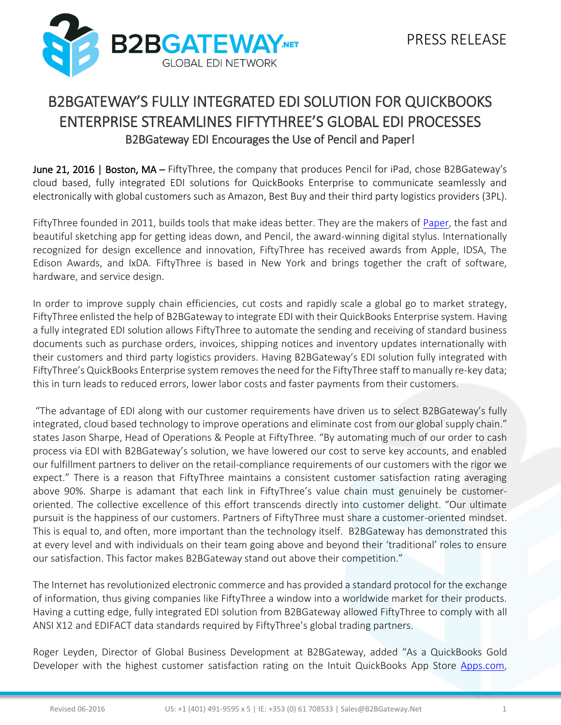

## B2BGATEWAY'S FULLY INTEGRATED EDI SOLUTION FOR QUICKBOOKS ENTERPRISE STREAMLINES FIFTYTHREE'S GLOBAL EDI PROCESSES B2BGateway EDI Encourages the Use of Pencil and Paper!

June 21, 2016 | Boston, MA – Fifty Three, the company that produces Pencil for iPad, chose B2BGateway's cloud based, fully integrated EDI solutions for QuickBooks Enterprise to communicate seamlessly and electronically with global customers such as Amazon, Best Buy and their third party logistics providers (3PL).

FiftyThree founded in 2011, builds tools that make ideas better. They are the makers of [Paper,](https://itunes.apple.com/ie/app/paper-by-fiftythree-sketch/id506003812?mt=8) the fast and beautiful sketching app for getting ideas down, and Pencil, the award-winning digital stylus. Internationally recognized for design excellence and innovation, FiftyThree has received awards from Apple, IDSA, The Edison Awards, and IxDA. FiftyThree is based in New York and brings together the craft of software, hardware, and service design.

In order to improve supply chain efficiencies, cut costs and rapidly scale a global go to market strategy, FiftyThree enlisted the help of B2BGateway to integrate EDI with their QuickBooks Enterprise system. Having a fully integrated EDI solution allows FiftyThree to automate the sending and receiving of standard business documents such as purchase orders, invoices, shipping notices and inventory updates internationally with their customers and third party logistics providers. Having B2BGateway's EDI solution fully integrated with FiftyThree's QuickBooks Enterprise system removes the need for the FiftyThree staff to manually re-key data; this in turn leads to reduced errors, lower labor costs and faster payments from their customers.

"The advantage of EDI along with our customer requirements have driven us to select B2BGateway's fully integrated, cloud based technology to improve operations and eliminate cost from our global supply chain." states Jason Sharpe, Head of Operations & People at FiftyThree. "By automating much of our order to cash process via EDI with B2BGateway's solution, we have lowered our cost to serve key accounts, and enabled our fulfillment partners to deliver on the retail-compliance requirements of our customers with the rigor we expect." There is a reason that FiftyThree maintains a consistent customer satisfaction rating averaging above 90%. Sharpe is adamant that each link in FiftyThree's value chain must genuinely be customeroriented. The collective excellence of this effort transcends directly into customer delight. "Our ultimate pursuit is the happiness of our customers. Partners of FiftyThree must share a customer-oriented mindset. This is equal to, and often, more important than the technology itself. B2BGateway has demonstrated this at every level and with individuals on their team going above and beyond their 'traditional' roles to ensure our satisfaction. This factor makes B2BGateway stand out above their competition."

The Internet has revolutionized electronic commerce and has provided a standard protocol for the exchange of information, thus giving companies like FiftyThree a window into a worldwide market for their products. Having a cutting edge, fully integrated EDI solution from B2BGateway allowed FiftyThree to comply with all ANSI X12 and EDIFACT data standards required by FiftyThree's global trading partners.

Roger Leyden, Director of Global Business Development at B2BGateway, added "As a QuickBooks Gold Developer with the highest customer satisfaction rating on the Intuit QuickBooks App Store [Apps.com,](https://appcenter.intuit.com/b2bgatewayconnect)